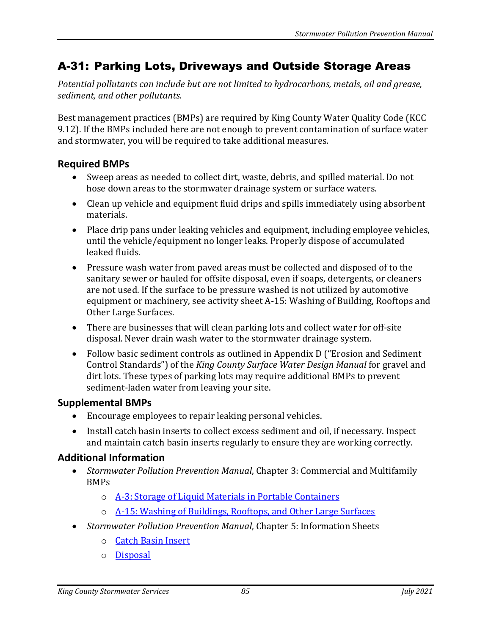## A-31: Parking Lots, Driveways and Outside Storage Areas

*Potential pollutants can include but are not limited to hydrocarbons, metals, oil and grease, sediment, and other pollutants.*

Best management practices (BMPs) are required by King County Water Quality Code (KCC 9.12). If the BMPs included here are not enough to prevent contamination of surface water and stormwater, you will be required to take additional measures.

## **Required BMPs**

- Sweep areas as needed to collect dirt, waste, debris, and spilled material. Do not hose down areas to the stormwater drainage system or surface waters.
- Clean up vehicle and equipment fluid drips and spills immediately using absorbent materials.
- Place drip pans under leaking vehicles and equipment, including employee vehicles, until the vehicle/equipment no longer leaks. Properly dispose of accumulated leaked fluids.
- Pressure wash water from paved areas must be collected and disposed of to the sanitary sewer or hauled for offsite disposal, even if soaps, detergents, or cleaners are not used. If the surface to be pressure washed is not utilized by automotive equipment or machinery, see activity sheet A-15: Washing of Building, Rooftops and Other Large Surfaces.
- There are businesses that will clean parking lots and collect water for off-site disposal. Never drain wash water to the stormwater drainage system.
- Follow basic sediment controls as outlined in Appendix D ("Erosion and Sediment Control Standards") of the *King County Surface Water Design Manual* for gravel and dirt lots. These types of parking lots may require additional BMPs to prevent sediment-laden water from leaving your site.

## **Supplemental BMPs**

- Encourage employees to repair leaking personal vehicles.
- Install catch basin inserts to collect excess sediment and oil, if necessary. Inspect and maintain catch basin inserts regularly to ensure they are working correctly.

## **Additional Information**

- *Stormwater Pollution Prevention Manual*, Chapter 3: Commercial and Multifamily BMPs
	- o [A-3: Storage of Liquid Materials in Portable Containers](https://your.kingcounty.gov/dnrp/library/water-and-land/stormwater/stormwater-pollution-prevention-manual/a03-jul21.pdf)
	- o [A-15: Washing of Buildings, Rooftops, and Other Large Surfaces](https://your.kingcounty.gov/dnrp/library/water-and-land/stormwater/stormwater-pollution-prevention-manual/a15-jul21.pdf)
- *Stormwater Pollution Prevention Manual*, Chapter 5: Information Sheets
	- o [Catch Basin Insert](https://your.kingcounty.gov/dnrp/library/water-and-land/stormwater/stormwater-pollution-prevention-manual/catch-basin-inserts-jul21.pdf)
	- o [Disposal](https://your.kingcounty.gov/dnrp/library/water-and-land/stormwater/stormwater-pollution-prevention-manual/disposal-jul21.pdf)